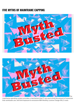# **FIVE MYTHS OF MAINFRAME CAPPING**





The

mainframe operating system provides a mechanism that IT can use to limit the amount of resources that workloads use, and limit exposure to excessive IBM Monthly License Charge (MLC) costs.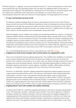Defined Capacity, or capping, can be set at specific levels by IT, but the consequence is that when work reaches the cap, the operating system will not allow any additional MSUs to be used, so workloads will be delayed. The potential for creating service level impacts to critical business work has made many mainframe users reluctant to use capping. As a result, there are some misconceptions about the risks and rewards of using capping. This blog explores five of them.

### 1. **If I cap, I put business services at risk.**

An effective capping strategy does not have to put business services at risk. Caps that are setup correctly account for the different importance levels of workloads and ensure that high importance work gets the resources it needs, and may restrict low importance work where delays are acceptable. Workload volumes vary widely over time, so getting "the one right cap" that is safe for all time periods is just not attainable using native tools.

With the digitally-driven volatile and variable work impacting mainframe systems, an effective capping solution needs to dynamically and automatically adjust capacity limits across LPARs to ensure there is no risk to business services. The solution needs to evaluate workload priority, available capacity and the relative cost of MLC products running on the various LPARs. This should be accomplished under control of a policy you set. One that defines workload priorities, target MSU consumption and the cost of MLC products on LPARs. With this approach, you can mitigate risk to critical work, and achieve lower MSU consumption and lower MLC costs.

For a more detailed discussion of how to cap without risk, view this [webinar](https://www.youtube.com/watch?v=vi9Ti81igq0).

# 2. **Capping may avoid excess charges, but it cannot reduce my ongoing MLC costs.**

This is true of standard manual capping approaches. The volatility and variability of workloads on the system dictate that caps be set to avoid excess charges, but do not constrain any priority work running on the systems. As a result, caps are usually set high to prevent excessive charges and avoid workload impacts. However this eliminates opportunities to reduce costs. Standard capping mechanisms cannot address variability/volatility, differentiate workload priorities, or recognize excess capacity that may exist across the environment.

However, an automatic, dynamic capping adjustment approach protects against excessive usage and ensures that priority work is not resource constrained, while lowering total MSU consumption, and MLC costs. This approach dynamically adjusts caps to align priority workload requirements and available unused capacity on other LPARs. It moves cap space between them as the variability of the workloads dictates. In shifting excess capacity across LPARs, this capping approach also has to be aware of the relative cost of the MLC products which are running on each LPAR in order to avoid inadvertently increasing overall MLC costs.

## 3. **Capping doesn't work with variable and volatile workloads.**

As discussed in Myth #2, a dynamic capping mechanism is the key to actually reducing MLC costs. The automatic, dynamic, workload-aware and MLC cost-aware approach is ideal for handling variable and volatile workloads, which are being driven by digital engagement. A capping approach that examines workload activity and priorities in real time, can make cap adjustments that accommodate workload changes, and balances required service levels, capacity and costs. This approach ensures service quality and cost optimization, even when